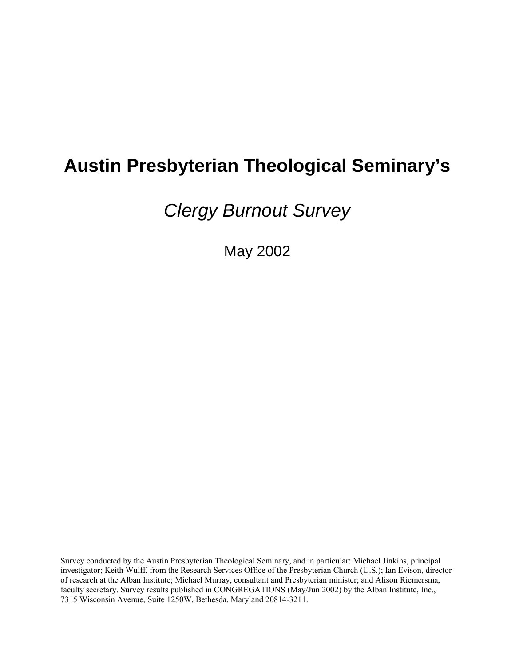# **Austin Presbyterian Theological Seminary's**

Clergy Burnout Survey

May 2002

Survey conducted by the Austin Presbyterian Theological Seminary, and in particular: Michael Jinkins, principal investigator; Keith Wulff, from the Research Services Office of the Presbyterian Church (U.S.); Ian Evison, director of research at the Alban Institute; Michael Murray, consultant and Presbyterian minister; and Alison Riemersma, faculty secretary. Survey results published in CONGREGATIONS (May/Jun 2002) by the Alban Institute, Inc., 7315 Wisconsin Avenue, Suite 1250W, Bethesda, Maryland 20814-3211.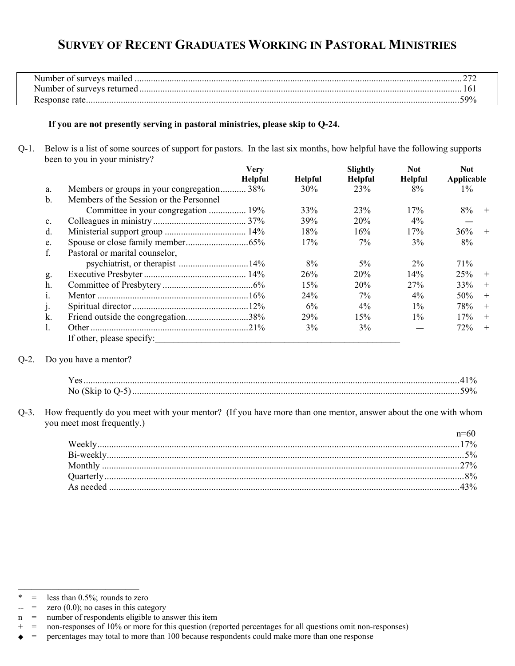# **SURVEY OF RECENT GRADUATES WORKING IN PASTORAL MINISTRIES**

| Number of surveys mailed   |     |
|----------------------------|-----|
| Number of surveys returned |     |
| Response<br>attf           | ,00 |

#### **If you are not presently serving in pastoral ministries, please skip to Q-24.**

Q-1. Below is a list of some sources of support for pastors. In the last six months, how helpful have the following supports been to you in your ministry?

|                |                                            | <b>Very</b>    |         | Slightly        | <b>Not</b>     | <b>Not</b> |        |
|----------------|--------------------------------------------|----------------|---------|-----------------|----------------|------------|--------|
|                |                                            | <b>Helpful</b> | Helpful | <b>Helpful</b>  | <b>Helpful</b> | Applicable |        |
| a.             | Members or groups in your congregation 38% |                | 30%     | 23 <sup>%</sup> | 8%             | $1\%$      |        |
| b.             | Members of the Session or the Personnel    |                |         |                 |                |            |        |
|                |                                            |                | 33%     | 23%             | 17%            | 8%         | $^{+}$ |
| $\mathbf{c}$ . |                                            |                | 39%     | 20%             | $4\%$          |            |        |
| d.             |                                            |                | 18%     | 16%             | 17%            | 36%        | $+$    |
| e.             |                                            |                | 17%     | $7\%$           | 3%             | 8%         |        |
| f.             | Pastoral or marital counselor,             |                |         |                 |                |            |        |
|                |                                            |                | 8%      | $5\%$           | $2\%$          | 71%        |        |
| g.             |                                            |                | 26%     | 20%             | 14%            | 25%        | $+$    |
| h.             |                                            |                | 15%     | 20%             | 27%            | 33%        | $+$    |
| $\mathbf{1}$ . |                                            |                | 24%     | $7\%$           | $4\%$          | 50%        | $+$    |
| J.             |                                            |                | 6%      | $4\%$           | $1\%$          | 78%        | $+$    |
| k.             | Friend outside the congregation38%         |                | 29%     | 15%             | $1\%$          | 17%        | $+$    |
| 1.             |                                            |                | 3%      | 3%              |                | 72%        | $+$    |
|                | If other, please specify:                  |                |         |                 |                |            |        |

#### Q-2. Do you have a mentor?

|  | $\cdots$<br>ш |
|--|---------------|

Q-3. How frequently do you meet with your mentor? (If you have more than one mentor, answer about the one with whom you meet most frequently.)

| $7\%$ |
|-------|
|       |
|       |
|       |
|       |
|       |

<sup>——————————————————</sup>   $=$  less than 0.5%; rounds to zero

 $=$  zero  $(0.0)$ ; no cases in this category

n = number of respondents eligible to answer this item

<sup>+ =</sup> non-responses of 10% or more for this question (reported percentages for all questions omit non-responses)

<sup>=</sup> percentages may total to more than 100 because respondents could make more than one response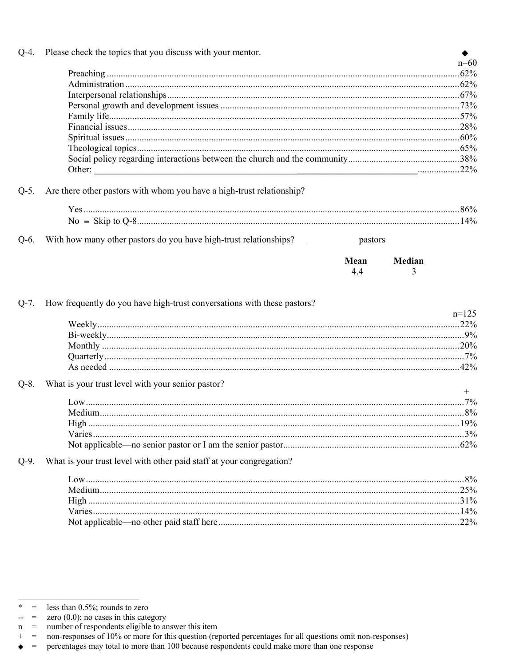| $Q-4$ . | Please check the topics that you discuss with your mentor.              |         |
|---------|-------------------------------------------------------------------------|---------|
|         |                                                                         | $n=60$  |
|         |                                                                         |         |
|         |                                                                         |         |
|         |                                                                         |         |
|         |                                                                         |         |
|         |                                                                         |         |
|         |                                                                         |         |
|         |                                                                         |         |
|         |                                                                         |         |
|         |                                                                         |         |
| $Q-5$ . | Are there other pastors with whom you have a high-trust relationship?   |         |
|         |                                                                         |         |
|         |                                                                         |         |
|         |                                                                         |         |
| $Q-6$ . |                                                                         |         |
|         | Median<br>Mean<br>4.4<br>3                                              |         |
| $Q-7.$  | How frequently do you have high-trust conversations with these pastors? | $n=125$ |
|         |                                                                         |         |
| $Q-8$ . | What is your trust level with your senior pastor?                       | $^{+}$  |
|         |                                                                         |         |
|         |                                                                         |         |
|         | High                                                                    |         |
|         |                                                                         |         |
|         |                                                                         |         |
| $Q-9$ . | What is your trust level with other paid staff at your congregation?    |         |
|         |                                                                         |         |
|         |                                                                         |         |
|         |                                                                         |         |
|         |                                                                         |         |
|         |                                                                         |         |

less than 0.5%; rounds to zero  $\ast$  $\hspace{0.1cm} = \hspace{0.1cm}$ 

zero  $(0.0)$ ; no cases in this category  $\hspace{0.1in} = \hspace{0.1in}$  $\overline{a}$ 

number of respondents eligible to answer this item  $\mathbf n$  $=$ 

 $+$  $\hspace{0.1in} = \hspace{0.1in}$ non-responses of 10% or more for this question (reported percentages for all questions omit non-responses)

 $\hspace{0.1cm} = \hspace{0.1cm}$ percentages may total to more than 100 because respondents could make more than one response  $\blacklozenge$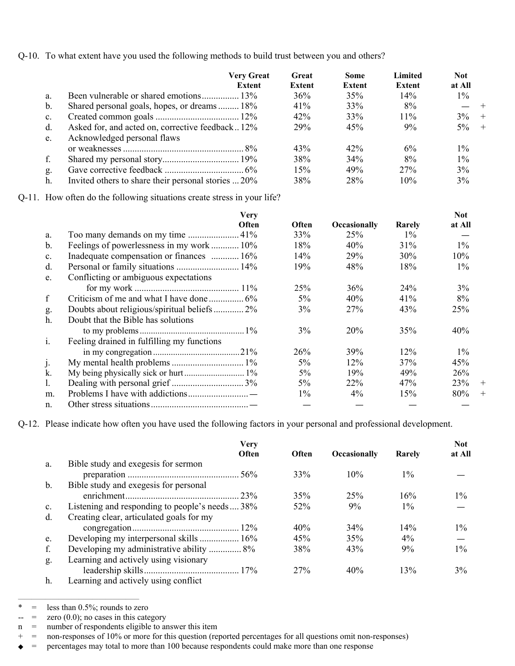Q-10. To what extent have you used the following methods to build trust between you and others?

|                | <b>Very Great</b><br>Extent                         | Great<br>Extent | <b>Some</b><br>Extent | Limited<br>Extent | <b>Not</b><br>at All |     |
|----------------|-----------------------------------------------------|-----------------|-----------------------|-------------------|----------------------|-----|
| a.             |                                                     | 36%             | 35%                   | $14\%$            | $1\%$                |     |
| $\mathbf b$ .  | Shared personal goals, hopes, or dreams 18%         | 41%             | 33%                   | 8%                |                      |     |
| $\mathbf{c}$ . |                                                     | 42%             | 33%                   | 11%               | $3\%$                | $+$ |
| $d$ .          | Asked for, and acted on, corrective feedback12%     | <b>29%</b>      | 45%                   | 9%                | $5\% +$              |     |
| e.             | Acknowledged personal flaws                         |                 |                       |                   |                      |     |
|                |                                                     | 43%             | 42%                   | $6\%$             | $1\%$                |     |
| f.             |                                                     | 38%             | 34%                   | 8%                | $1\%$                |     |
| g.             |                                                     | 15%             | 49%                   | 27%               | 3%                   |     |
| h.             | Invited others to share their personal stories  20% | 38%             | 28%                   | 10%               | 3%                   |     |

Q-11. How often do the following situations create stress in your life?

|                | <b>Very</b>                                |              |                     |        | <b>Not</b> |        |
|----------------|--------------------------------------------|--------------|---------------------|--------|------------|--------|
|                | <b>Often</b>                               | <b>Often</b> | <b>Occasionally</b> | Rarely | at All     |        |
| a.             |                                            | 33%          | 25%                 | $1\%$  |            |        |
| $\mathbf b$ .  | Feelings of powerlessness in my work  10%  | 18%          | 40%                 | 31%    | $1\%$      |        |
| $\mathbf{c}$ . | Inadequate compensation or finances  16%   | 14%          | 29%                 | 30%    | 10%        |        |
| d.             |                                            | 19%          | 48%                 | 18%    | $1\%$      |        |
| e.             | Conflicting or ambiguous expectations      |              |                     |        |            |        |
|                |                                            | 25%          | 36%                 | 24%    | 3%         |        |
| $\mathbf f$    |                                            | 5%           | 40%                 | 41%    | 8%         |        |
| g.             | Doubts about religious/spiritual beliefs2% | 3%           | 27%                 | 43%    | 25%        |        |
| $h$ .          | Doubt that the Bible has solutions         |              |                     |        |            |        |
|                |                                            | 3%           | 20%                 | 35%    | 40%        |        |
| i.             | Feeling drained in fulfilling my functions |              |                     |        |            |        |
|                |                                            | 26%          | 39%                 | 12%    | $1\%$      |        |
| J.             |                                            | $5\%$        | $12\%$              | 37%    | 45%        |        |
| k.             |                                            | 5%           | 19%                 | 49%    | 26%        |        |
| l.             |                                            | 5%           | 22%                 | 47%    | <b>23%</b> | $^{+}$ |
| m.             |                                            | $1\%$        | $4\%$               | 15%    | 80%        | $^{+}$ |
| n.             |                                            |              |                     |        |            |        |

Q-12. Please indicate how often you have used the following factors in your personal and professional development.

|                |                                                                       | Very<br>Often | Often | Occasionally | Rarely | <b>Not</b><br>at All |
|----------------|-----------------------------------------------------------------------|---------------|-------|--------------|--------|----------------------|
| a.             | Bible study and exegesis for sermon                                   |               |       |              |        |                      |
|                |                                                                       |               | 33%   | 10%          | $1\%$  |                      |
| b.             | Bible study and exegesis for personal                                 |               |       |              |        |                      |
|                |                                                                       |               | 35%   | 25%          | 16%    | $1\%$                |
| $\mathbf{c}$ . | Listening and responding to people's needs 38%                        |               | 52%   | 9%           | $1\%$  |                      |
| d.             | Creating clear, articulated goals for my                              |               |       |              |        |                      |
|                |                                                                       |               | 40%   | 34%          | 14%    | $1\%$                |
| e.             | Developing my interpersonal skills  16%                               |               | 45%   | 35%          | $4\%$  |                      |
| f.             | Developing my administrative ability  8%                              |               | 38%   | 43%          | $9\%$  | $1\%$                |
| g.             | Learning and actively using visionary                                 |               |       |              |        |                      |
|                |                                                                       |               | 27%   | 40%          | 13%    | $3\%$                |
|                | $\mathbf{r}$ . In the set of states to set of the set of $\mathbf{r}$ |               |       |              |        |                      |

h. Learning and actively using conflict

<sup>——————————————————</sup>  \* = less than 0.5%; rounds to zero

 $\begin{array}{rcl} -\end{array}$  = zero (0.0); no cases in this category

n = number of respondents eligible to answer this item

<sup>+ =</sup> non-responses of 10% or more for this question (reported percentages for all questions omit non-responses)

<sup>◆</sup> = percentages may total to more than 100 because respondents could make more than one response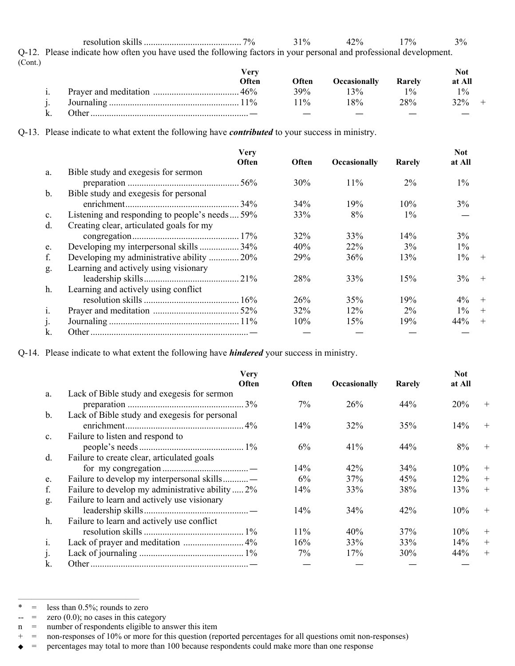resolution skills .......................................... 7% 31% 42% 17% 3% Q-12. Please indicate how often you have used the following factors in your personal and professional development. (Cont.)

|       | Verv  |       |                     |        | Not    |
|-------|-------|-------|---------------------|--------|--------|
|       | Often | Often | <b>Occasionally</b> | Rarely | at All |
|       | 46%   | 39%   | $3\%$               | 10/2   | 10/6   |
|       |       | $1\%$ | 8%                  | 28%    | 32%    |
| )ther |       |       |                     |        |        |

Q-13. Please indicate to what extent the following have *contributed* to your success in ministry.

|                | <b>Very</b><br>Often                           | <b>Often</b> | Occasionally | Rarely | <b>Not</b><br>at All |        |
|----------------|------------------------------------------------|--------------|--------------|--------|----------------------|--------|
| a.             | Bible study and exegesis for sermon            |              |              |        |                      |        |
|                |                                                | 30%          | 11%          | $2\%$  | $1\%$                |        |
| $\mathbf b$ .  | Bible study and exegesis for personal          |              |              |        |                      |        |
|                |                                                | 34%          | 19%          | 10%    | 3%                   |        |
| $\mathbf{c}$ . | Listening and responding to people's needs 59% | 33%          | 8%           | $1\%$  |                      |        |
| d.             | Creating clear, articulated goals for my       |              |              |        |                      |        |
|                |                                                | 32%          | 33%          | 14%    | 3%                   |        |
| e.             | Developing my interpersonal skills  34%        | 40%          | 22%          | 3%     | $1\%$                |        |
| f.             | Developing my administrative ability  20%      | 29%          | 36%          | 13%    | $1\%$                | $+$    |
| g.             | Learning and actively using visionary          |              |              |        |                      |        |
|                |                                                | 28%          | 33%          | 15%    | 3%                   | $+$    |
| h.             | Learning and actively using conflict           |              |              |        |                      |        |
|                |                                                | 26%          | 35%          | 19%    | 4%                   | $+$    |
| 1.             |                                                | 32%          | 12%          | $2\%$  | $1\%$                | $^{+}$ |
|                |                                                | 10%          | 15%          | 19%    | 44%                  | $+$    |
| k.             |                                                |              |              |        |                      |        |

Q-14. Please indicate to what extent the following have *hindered* your success in ministry.

|               | <b>Very</b><br>Often                             | Often  | Occasionally | Rarely | <b>Not</b><br>at All |        |
|---------------|--------------------------------------------------|--------|--------------|--------|----------------------|--------|
| a.            | Lack of Bible study and exegesis for sermon      |        |              |        |                      |        |
|               |                                                  | 7%     | 26%          | 44%    | 20%                  | $+$    |
| $\mathbf b$ . | Lack of Bible study and exegesis for personal    |        |              |        |                      |        |
|               |                                                  | 14%    | 32%          | 35%    | 14%                  | $+$    |
| c.            | Failure to listen and respond to                 |        |              |        |                      |        |
|               |                                                  | $6\%$  | 41%          | 44%    | 8%                   | $+$    |
| d.            | Failure to create clear, articulated goals       |        |              |        |                      |        |
|               |                                                  | 14%    | 42%          | 34%    | 10%                  | $^{+}$ |
| e.            | Failure to develop my interpersonal skills       | $6\%$  | 37%          | 45%    | 12%                  | $+$    |
| f.            | Failure to develop my administrative ability  2% | 14%    | 33%          | 38%    | 13%                  | $+$    |
| g.            | Failure to learn and actively use visionary      |        |              |        |                      |        |
|               |                                                  | 14%    | 34%          | 42%    | 10%                  | $^{+}$ |
| h.            | Failure to learn and actively use conflict       |        |              |        |                      |        |
|               |                                                  | $11\%$ | 40%          | 37%    | 10%                  | $+$    |
| 1.            |                                                  | 16%    | 33%          | 33%    | 14%                  | $+$    |
| j.            |                                                  | $7\%$  | 17%          | 30%    | 44%                  | $+$    |
| k.            |                                                  |        |              |        |                      |        |

<sup>——————————————————</sup>   $=$  less than 0.5%; rounds to zero

 $=$  zero (0.0); no cases in this category

n = number of respondents eligible to answer this item

 $=$  non-responses of 10% or more for this question (reported percentages for all questions omit non-responses)

<sup>=</sup> percentages may total to more than 100 because respondents could make more than one response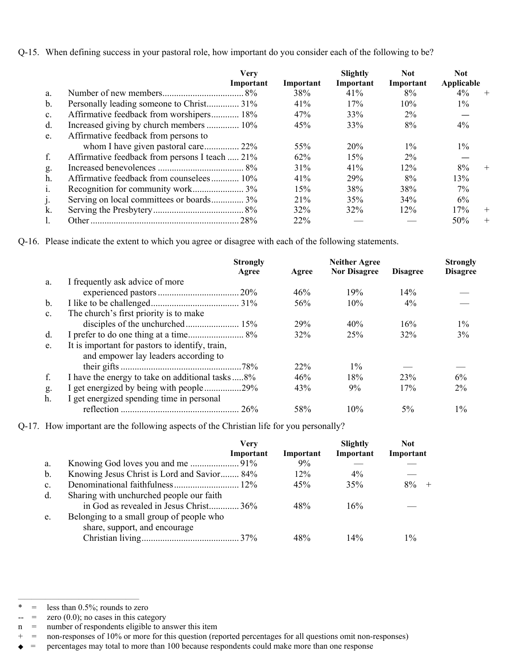Q-15. When defining success in your pastoral role, how important do you consider each of the following to be?

|               | <b>Very</b>                                    |           | Slightly  | <b>Not</b> | <b>Not</b> |        |
|---------------|------------------------------------------------|-----------|-----------|------------|------------|--------|
|               | Important                                      | Important | Important | Important  | Applicable |        |
| a.            |                                                | 38%       | 41%       | 8%         | $4\%$      | $^{+}$ |
| $\mathbf b$ . |                                                | 41%       | 17%       | 10%        | $1\%$      |        |
| c.            | Affirmative feedback from worshipers 18%       | 47%       | 33%       | $2\%$      |            |        |
| d.            | Increased giving by church members  10%        | 45%       | 33%       | 8%         | $4\%$      |        |
| e.            | Affirmative feedback from persons to           |           |           |            |            |        |
|               | whom I have given pastoral care 22%            | 55%       | 20%       | $1\%$      | $1\%$      |        |
| f.            | Affirmative feedback from persons I teach  21% | 62%       | 15%       | $2\%$      |            |        |
| g.            |                                                | 31%       | 41%       | 12%        | 8%         | $^{+}$ |
| h.            | Affirmative feedback from counselees 10%       | 41%       | 29%       | 8%         | 13%        |        |
| 1.            |                                                | 15%       | 38%       | 38%        | $7\%$      |        |
| J٠            | Serving on local committees or boards 3%       | 21%       | 35%       | 34%        | 6%         |        |
| k.            |                                                | 32%       | 32%       | 12%        | 17%        | $+$    |
|               |                                                | 22%       |           |            | 50%        | $+$    |

Q-16. Please indicate the extent to which you agree or disagree with each of the following statements.

|                | <b>Strongly</b><br>Agree                                                                | Agree | <b>Neither Agree</b><br><b>Nor Disagree</b> | <b>Disagree</b> | <b>Strongly</b><br><b>Disagree</b> |
|----------------|-----------------------------------------------------------------------------------------|-------|---------------------------------------------|-----------------|------------------------------------|
| a.             | I frequently ask advice of more                                                         |       |                                             |                 |                                    |
|                |                                                                                         | 46%   | 19%                                         | 14%             |                                    |
| $\mathbf b$ .  |                                                                                         | 56%   | 10%                                         | $4\%$           |                                    |
| C <sub>1</sub> | The church's first priority is to make                                                  |       |                                             |                 |                                    |
|                |                                                                                         | 29%   | 40%                                         | 16%             | $1\%$                              |
| d.             |                                                                                         | 32%   | 25%                                         | 32%             | 3%                                 |
| e.             | It is important for pastors to identify, train,<br>and empower lay leaders according to |       |                                             |                 |                                    |
|                |                                                                                         | 22%   | $1\%$                                       |                 |                                    |
| f.             | I have the energy to take on additional tasks  8%                                       | 46%   | 18%                                         | 23%             | 6%                                 |
| g.             | I get energized by being with people 29%                                                | 43%   | 9%                                          | 17%             | 2%                                 |
| h.             | I get energized spending time in personal                                               |       |                                             |                 |                                    |
|                |                                                                                         | 58%   | 10%                                         | $5\%$           | $1\%$                              |

Q-17. How important are the following aspects of the Christian life for you personally?

|    |                                                                                    | Verv<br>Important | Important | Slightly<br>Important | <b>Not</b><br>Important |
|----|------------------------------------------------------------------------------------|-------------------|-----------|-----------------------|-------------------------|
| a. |                                                                                    |                   | $9\%$     |                       |                         |
| b. | Knowing Jesus Christ is Lord and Savior 84%                                        |                   | 12%       | $4\%$                 |                         |
| c. |                                                                                    |                   | 45%       | 35%                   | $8\%$                   |
| d. | Sharing with unchurched people our faith<br>in God as revealed in Jesus Christ 36% |                   | 48%       | 16%                   |                         |
| e. | Belonging to a small group of people who<br>share, support, and encourage          |                   |           |                       |                         |
|    |                                                                                    |                   | 48%       | $14\%$                | $1\%$                   |

<sup>——————————————————</sup>   $=$  less than 0.5%; rounds to zero

 $=$  zero  $(0.0)$ ; no cases in this category

n = number of respondents eligible to answer this item

 $=$  non-responses of 10% or more for this question (reported percentages for all questions omit non-responses)

<sup>=</sup> percentages may total to more than 100 because respondents could make more than one response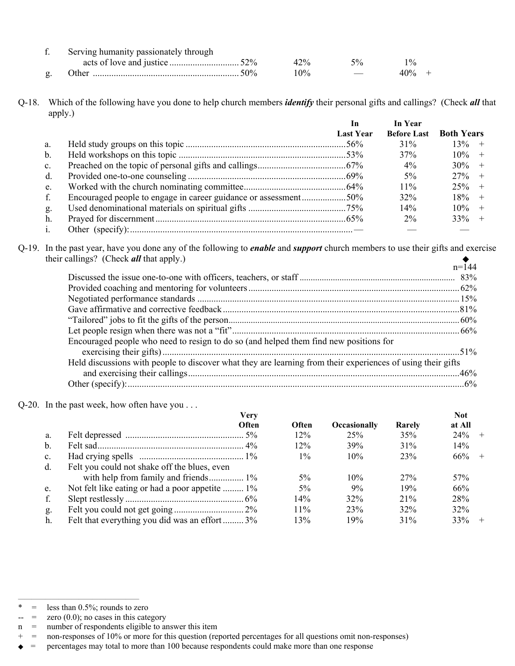| Serving humanity passionately through |     |               |         |
|---------------------------------------|-----|---------------|---------|
|                                       | 42% |               |         |
| .)ther                                | 10% | $\sim$ $\sim$ | $40% +$ |

#### Q-18. Which of the following have you done to help church members *identify* their personal gifts and callings? (Check *all* that apply.)

|    |                                                                 | In               | In Year            |                   |
|----|-----------------------------------------------------------------|------------------|--------------------|-------------------|
|    |                                                                 | <b>Last Year</b> | <b>Before Last</b> | <b>Both Years</b> |
| a. |                                                                 |                  | 31%                | 13%<br>$+$        |
| b. |                                                                 |                  | 37%                | $10\% +$          |
| c. |                                                                 |                  | $4\%$              | $30\% +$          |
| d. |                                                                 |                  | $5\%$              | $27\% +$          |
| e. |                                                                 |                  | $11\%$             | $25\% +$          |
| f. | Encouraged people to engage in career guidance or assessment50% |                  | 32%                | $18\% +$          |
| g. |                                                                 |                  | 14%                | $10\% +$          |
| h. |                                                                 |                  | $2\%$              | $33\% +$          |
|    |                                                                 |                  |                    |                   |

Q-19. In the past year, have you done any of the following to *enable* and *support* church members to use their gifts and exercise their callings? (Check *all* that apply.)

|                                                                                                             | $n = 144$ |
|-------------------------------------------------------------------------------------------------------------|-----------|
|                                                                                                             |           |
|                                                                                                             |           |
|                                                                                                             |           |
|                                                                                                             |           |
|                                                                                                             |           |
|                                                                                                             |           |
| Encouraged people who need to resign to do so (and helped them find new positions for                       |           |
|                                                                                                             |           |
| Held discussions with people to discover what they are learning from their experiences of using their gifts |           |
|                                                                                                             |           |
|                                                                                                             |           |

Q-20. In the past week, how often have you . . .

|                | Very                                            |              |                     |        | <b>Not</b> |
|----------------|-------------------------------------------------|--------------|---------------------|--------|------------|
|                | Often                                           | <b>Often</b> | <b>Occasionally</b> | Rarely | at All     |
| a.             |                                                 | 12%          | 25%                 | 35%    | 24%<br>$+$ |
| $\mathbf b$ .  |                                                 | 12%          | 39%                 | 31%    | 14%        |
| $\mathbf{c}$ . |                                                 | $1\%$        | 10%                 | 23%    | $66\% +$   |
| d.             | Felt you could not shake off the blues, even    |              |                     |        |            |
|                | with help from family and friends 1%            | $5\%$        | 10%                 | 27%    | 57%        |
| e.             | Not felt like eating or had a poor appetite  1% | 5%           | $9\%$               | 19%    | 66%        |
| f.             |                                                 | 14%          | 32%                 | 21%    | 28%        |
| g.             |                                                 | 11%          | 23%                 | 32%    | 32%        |
| h.             | Felt that everything you did was an effort  3%  | 13%          | 19%                 | 31%    | 33%        |

<sup>——————————————————</sup>   $=$  less than 0.5%; rounds to zero

 $=$  zero  $(0.0)$ ; no cases in this category

n = number of respondents eligible to answer this item

 $=$  non-responses of 10% or more for this question (reported percentages for all questions omit non-responses)

<sup>=</sup> percentages may total to more than 100 because respondents could make more than one response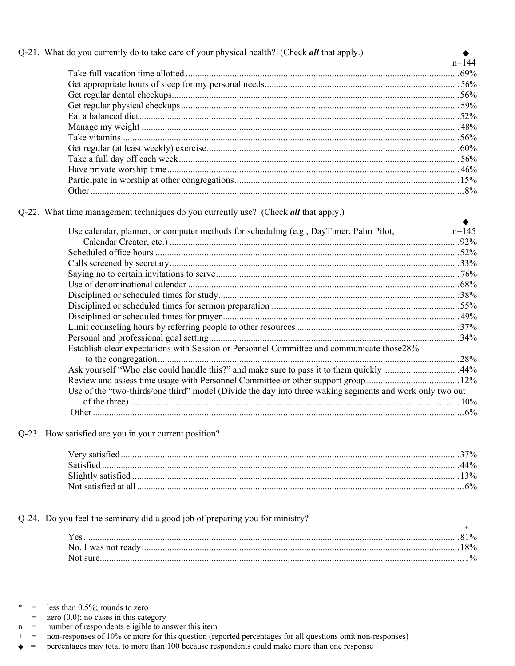## Q-21. What do you currently do to take care of your physical health? (Check all that apply.)

| $n = 144$ |
|-----------|
|           |
|           |
|           |
|           |
|           |
|           |
|           |
|           |
|           |
|           |
|           |
|           |

٠

Q-22. What time management techniques do you currently use? (Check all that apply.)

| Use calendar, planner, or computer methods for scheduling (e.g., DayTimer, Palm Pilot,                   | $n=145$ |
|----------------------------------------------------------------------------------------------------------|---------|
|                                                                                                          | .92%    |
|                                                                                                          |         |
|                                                                                                          |         |
|                                                                                                          |         |
|                                                                                                          |         |
|                                                                                                          |         |
|                                                                                                          |         |
|                                                                                                          |         |
|                                                                                                          |         |
|                                                                                                          |         |
| Establish clear expectations with Session or Personnel Committee and communicate those 28%               |         |
|                                                                                                          | 28%     |
| Ask yourself "Who else could handle this?" and make sure to pass it to them quickly44%                   |         |
|                                                                                                          |         |
| Use of the "two-thirds/one third" model (Divide the day into three waking segments and work only two out |         |
|                                                                                                          | 10%     |
|                                                                                                          |         |

Q-23. How satisfied are you in your current position?

Q-24. Do you feel the seminary did a good job of preparing you for ministry?

|          | $\frac{0}{0}$ |
|----------|---------------|
|          | $18\%$        |
| Not sure | $1\%$         |

 $\ast$ less than 0.5%; rounds to zero  $\, = \,$ 

 $\,=\,$ zero  $(0.0)$ ; no cases in this category  $\overline{a}$ 

number of respondents eligible to answer this item  $\mathbf n$  $\hspace{0.1cm} = \hspace{0.1cm}$ 

 $+$  $\hspace*{0.2cm} = \hspace*{0.2cm}$ non-responses of 10% or more for this question (reported percentages for all questions omit non-responses)

 $\mathcal{L} = \mathcal{L} \mathcal{L}$ percentages may total to more than 100 because respondents could make more than one response ٠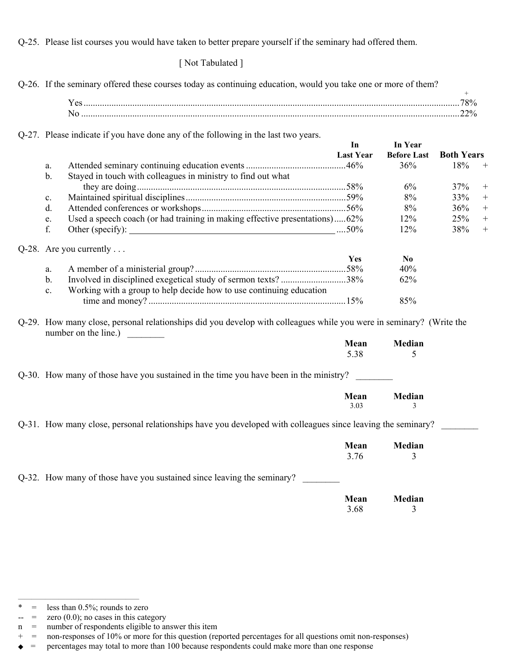Q-25. Please list courses you would have taken to better prepare yourself if the seminary had offered them.

[ Not Tabulated ]

|                | Q-26. If the seminary offered these courses today as continuing education, would you take one or more of them?                              |                  |                    | $+$               |                   |
|----------------|---------------------------------------------------------------------------------------------------------------------------------------------|------------------|--------------------|-------------------|-------------------|
|                |                                                                                                                                             |                  |                    |                   |                   |
|                |                                                                                                                                             |                  |                    |                   |                   |
|                |                                                                                                                                             |                  |                    |                   |                   |
|                | Q-27. Please indicate if you have done any of the following in the last two years.                                                          |                  |                    |                   |                   |
|                |                                                                                                                                             | In               | In Year            |                   |                   |
|                |                                                                                                                                             | <b>Last Year</b> | <b>Before Last</b> | <b>Both Years</b> |                   |
| a.             |                                                                                                                                             |                  | 36%                | 18%               | $^{+}$            |
| $\mathbf b$ .  | Stayed in touch with colleagues in ministry to find out what                                                                                |                  |                    |                   |                   |
|                |                                                                                                                                             |                  | 6%                 | 37%               | $^{+}$            |
| $c_{\cdot}$    |                                                                                                                                             |                  | 8%                 | 33%               | $+$               |
| d.             |                                                                                                                                             |                  | 8%                 | 36%               | $+$               |
| e.             | Used a speech coach (or had training in making effective presentations)62%                                                                  |                  | 12%                | 25%               | $^{+}$            |
| f.             |                                                                                                                                             |                  | 12%                | 38%               | $\qquad \qquad +$ |
|                | $Q-28$ . Are you currently                                                                                                                  |                  |                    |                   |                   |
|                |                                                                                                                                             | Yes              | N <sub>0</sub>     |                   |                   |
| a.             |                                                                                                                                             |                  | 40%                |                   |                   |
| $\mathbf{b}$ . | Involved in disciplined exegetical study of sermon texts? 38%                                                                               |                  | 62%                |                   |                   |
| $\mathbf{c}$ . | Working with a group to help decide how to use continuing education                                                                         |                  |                    |                   |                   |
|                |                                                                                                                                             |                  | 85%                |                   |                   |
|                |                                                                                                                                             |                  |                    |                   |                   |
|                | Q-29. How many close, personal relationships did you develop with colleagues while you were in seminary? (Write the<br>number on the line.) |                  |                    |                   |                   |
|                |                                                                                                                                             | Mean             | Median             |                   |                   |
|                |                                                                                                                                             | 5.38             | 5                  |                   |                   |
|                |                                                                                                                                             |                  |                    |                   |                   |
|                | Q-30. How many of those have you sustained in the time you have been in the ministry?                                                       |                  |                    |                   |                   |
|                |                                                                                                                                             | Mean             | Median             |                   |                   |
|                |                                                                                                                                             | 3.03             | 3                  |                   |                   |
|                | Q-31. How many close, personal relationships have you developed with colleagues since leaving the seminary?                                 |                  |                    |                   |                   |
|                |                                                                                                                                             | Mean             | Median             |                   |                   |
|                |                                                                                                                                             | 3.76             | 3                  |                   |                   |
|                | Q-32. How many of those have you sustained since leaving the seminary?                                                                      |                  |                    |                   |                   |
|                |                                                                                                                                             |                  |                    |                   |                   |
|                |                                                                                                                                             | Mean             | Median             |                   |                   |
|                |                                                                                                                                             | 3.68             | 3                  |                   |                   |

<sup>——————————————————</sup>  \* = less than  $0.5\%$ ; rounds to zero

 $\leftarrow$  = zero (0.0); no cases in this category

n = number of respondents eligible to answer this item

<sup>+ =</sup> non-responses of 10% or more for this question (reported percentages for all questions omit non-responses)

<sup>◆</sup> = percentages may total to more than 100 because respondents could make more than one response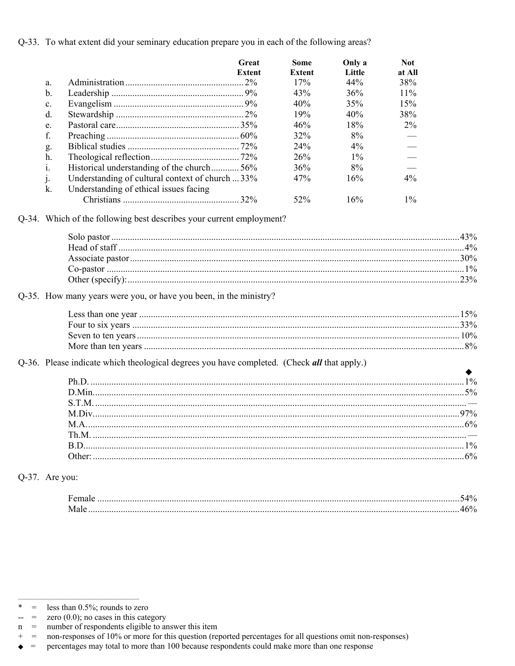Q-33. To what extent did your seminary education prepare you in each of the following areas?

|                | Great                                            | Some   | Only a | <b>Not</b> |
|----------------|--------------------------------------------------|--------|--------|------------|
|                | <b>Extent</b>                                    | Extent | Little | at All     |
| a.             |                                                  | 17%    | 44%    | 38%        |
| b.             |                                                  | 43%    | 36%    | $11\%$     |
| C <sub>1</sub> |                                                  | 40%    | 35%    | 15%        |
| d.             |                                                  | 19%    | 40%    | 38%        |
| e.             |                                                  | 46%    | 18%    | $2\%$      |
| f.             |                                                  | 32%    | 8%     |            |
| g.             |                                                  | 24%    | $4\%$  |            |
| h.             |                                                  | 26%    | $1\%$  |            |
| $\mathbf{1}$ . | Historical understanding of the church56%        | 36%    | 8%     |            |
| j.             | Understanding of cultural context of church  33% | 47%    | 16%    | 4%         |
| k.             | Understanding of ethical issues facing           |        |        |            |
|                | $.32\%$                                          | 52%    | 16%    | $1\%$      |

| $1\%$ |
|-------|
|       |

Q-35. How many years were you, or have you been, in the ministry?

Q-36. Please indicate which theological degrees you have completed. (Check all that apply.)

Q-37. Are you:

| - ∕∩ |
|------|
|      |

 $\!=$ zero  $(0.0)$ ; no cases in this category --

less than 0.5%; rounds to zero  $\ast$  $\,=\,$ 

number of respondents eligible to answer this item  $\mathbf n$  $=$ 

 $^{+}$  $=$ non-responses of 10% or more for this question (reported percentages for all questions omit non-responses)

 $\equiv$ percentages may total to more than 100 because respondents could make more than one response ٠